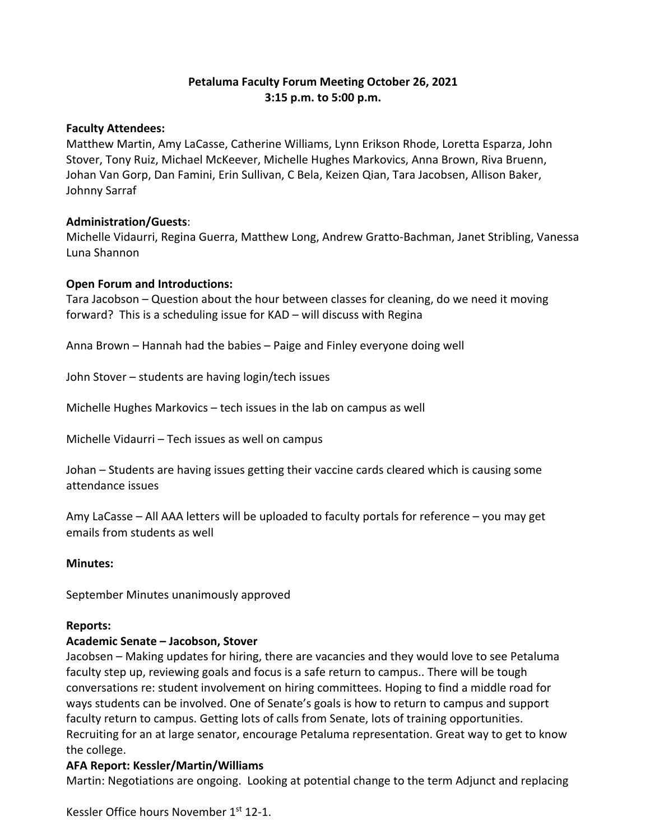# **Petaluma Faculty Forum Meeting October 26, 2021 3:15 p.m. to 5:00 p.m.**

## **Faculty Attendees:**

Matthew Martin, Amy LaCasse, Catherine Williams, Lynn Erikson Rhode, Loretta Esparza, John Stover, Tony Ruiz, Michael McKeever, Michelle Hughes Markovics, Anna Brown, Riva Bruenn, Johan Van Gorp, Dan Famini, Erin Sullivan, C Bela, Keizen Qian, Tara Jacobsen, Allison Baker, Johnny Sarraf

### **Administration/Guests**:

Michelle Vidaurri, Regina Guerra, Matthew Long, Andrew Gratto-Bachman, Janet Stribling, Vanessa Luna Shannon

### **Open Forum and Introductions:**

Tara Jacobson – Question about the hour between classes for cleaning, do we need it moving forward? This is a scheduling issue for KAD – will discuss with Regina

Anna Brown – Hannah had the babies – Paige and Finley everyone doing well

John Stover – students are having login/tech issues

Michelle Hughes Markovics – tech issues in the lab on campus as well

Michelle Vidaurri – Tech issues as well on campus

Johan – Students are having issues getting their vaccine cards cleared which is causing some attendance issues

Amy LaCasse – All AAA letters will be uploaded to faculty portals for reference – you may get emails from students as well

#### **Minutes:**

September Minutes unanimously approved

#### **Reports:**

#### **Academic Senate – Jacobson, Stover**

Jacobsen – Making updates for hiring, there are vacancies and they would love to see Petaluma faculty step up, reviewing goals and focus is a safe return to campus.. There will be tough conversations re: student involvement on hiring committees. Hoping to find a middle road for ways students can be involved. One of Senate's goals is how to return to campus and support faculty return to campus. Getting lots of calls from Senate, lots of training opportunities. Recruiting for an at large senator, encourage Petaluma representation. Great way to get to know the college.

## **AFA Report: Kessler/Martin/Williams**

Martin: Negotiations are ongoing. Looking at potential change to the term Adjunct and replacing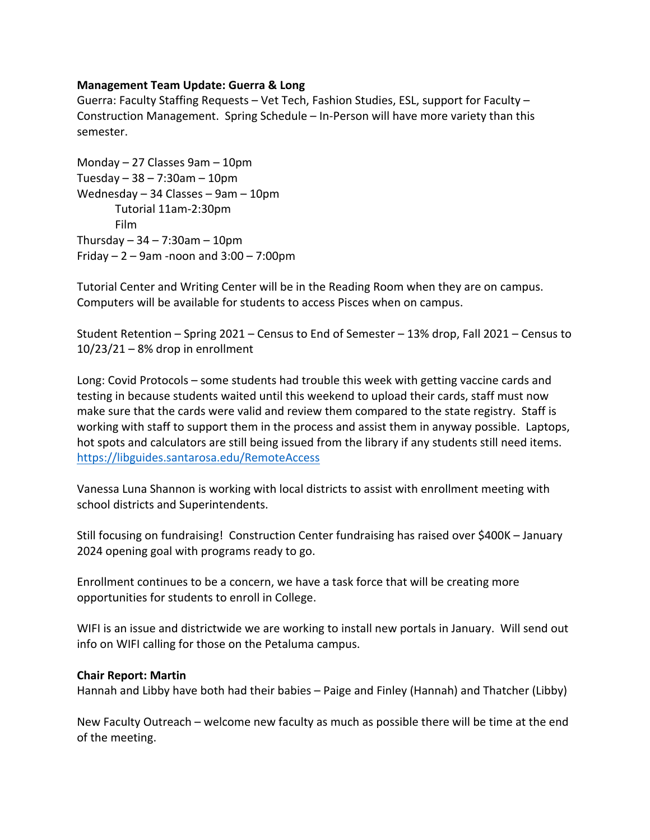### **Management Team Update: Guerra & Long**

Guerra: Faculty Staffing Requests – Vet Tech, Fashion Studies, ESL, support for Faculty – Construction Management. Spring Schedule – In-Person will have more variety than this semester.

Monday – 27 Classes 9am – 10pm Tuesday  $-38 - 7:30$ am  $-10$ pm Wednesday – 34 Classes – 9am – 10pm Tutorial 11am-2:30pm Film Thursday  $-34 - 7:30$ am  $-10$ pm Friday  $-2 - 9$ am -noon and  $3:00 - 7:00$ pm

Tutorial Center and Writing Center will be in the Reading Room when they are on campus. Computers will be available for students to access Pisces when on campus.

Student Retention – Spring 2021 – Census to End of Semester – 13% drop, Fall 2021 – Census to 10/23/21 – 8% drop in enrollment

Long: Covid Protocols – some students had trouble this week with getting vaccine cards and testing in because students waited until this weekend to upload their cards, staff must now make sure that the cards were valid and review them compared to the state registry. Staff is working with staff to support them in the process and assist them in anyway possible. Laptops, hot spots and calculators are still being issued from the library if any students still need items. https://libguides.santarosa.edu/RemoteAccess

Vanessa Luna Shannon is working with local districts to assist with enrollment meeting with school districts and Superintendents.

Still focusing on fundraising! Construction Center fundraising has raised over \$400K – January 2024 opening goal with programs ready to go.

Enrollment continues to be a concern, we have a task force that will be creating more opportunities for students to enroll in College.

WIFI is an issue and districtwide we are working to install new portals in January. Will send out info on WIFI calling for those on the Petaluma campus.

#### **Chair Report: Martin**

Hannah and Libby have both had their babies – Paige and Finley (Hannah) and Thatcher (Libby)

New Faculty Outreach – welcome new faculty as much as possible there will be time at the end of the meeting.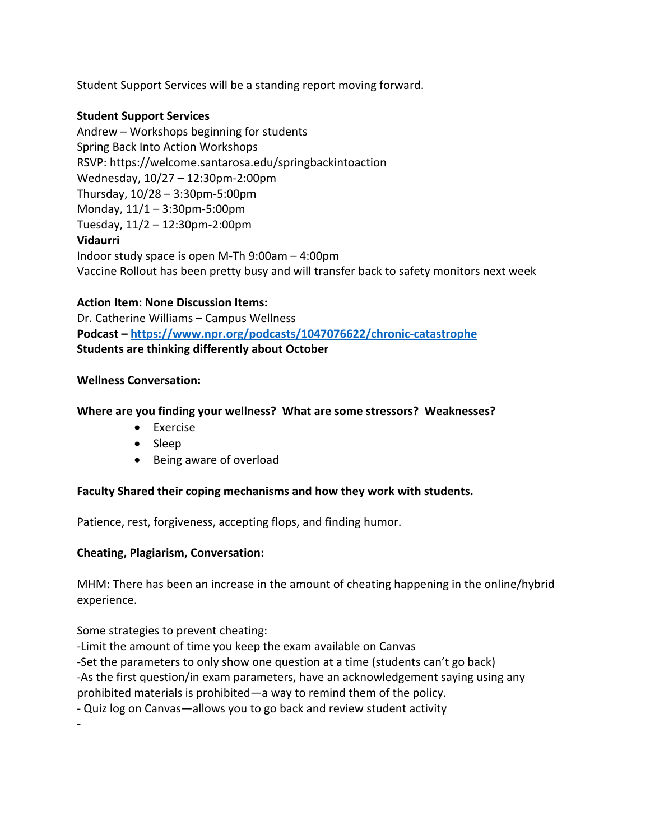Student Support Services will be a standing report moving forward.

# **Student Support Services**

Andrew – Workshops beginning for students Spring Back Into Action Workshops RSVP: https://welcome.santarosa.edu/springbackintoaction Wednesday, 10/27 – 12:30pm-2:00pm Thursday, 10/28 – 3:30pm-5:00pm Monday, 11/1 – 3:30pm-5:00pm Tuesday, 11/2 – 12:30pm-2:00pm **Vidaurri** Indoor study space is open M-Th 9:00am – 4:00pm Vaccine Rollout has been pretty busy and will transfer back to safety monitors next week

# **Action Item: None Discussion Items:**

Dr. Catherine Williams – Campus Wellness **Podcast – https://www.npr.org/podcasts/1047076622/chronic-catastrophe Students are thinking differently about October** 

## **Wellness Conversation:**

# **Where are you finding your wellness? What are some stressors? Weaknesses?**

- Exercise
- Sleep
- Being aware of overload

## **Faculty Shared their coping mechanisms and how they work with students.**

Patience, rest, forgiveness, accepting flops, and finding humor.

## **Cheating, Plagiarism, Conversation:**

MHM: There has been an increase in the amount of cheating happening in the online/hybrid experience.

Some strategies to prevent cheating:

-

-Limit the amount of time you keep the exam available on Canvas

-Set the parameters to only show one question at a time (students can't go back)

-As the first question/in exam parameters, have an acknowledgement saying using any

prohibited materials is prohibited—a way to remind them of the policy.

- Quiz log on Canvas—allows you to go back and review student activity